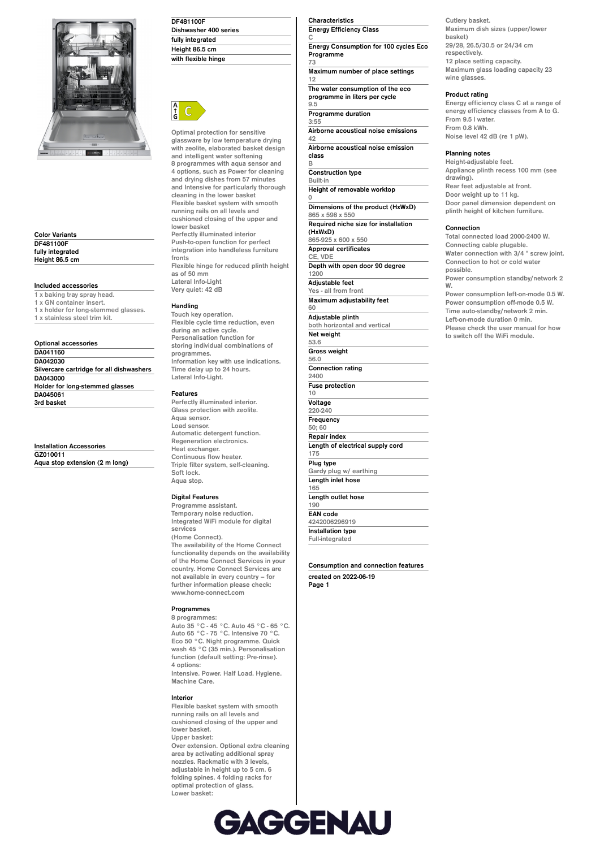

**Color Variants DF481100F fully integrated Height 86.5 cm**

# **Included accessories**

**3rd basket**

**1 x baking tray spray head. 1 x GN container insert. 1 x holder for long-stemmed glasses. 1 x stainless steel trim kit.**

#### **Optional accessories DA041160 DA042030 Silvercare cartridge for all dishwashers DA043000 Holder for long-stemmed glasses DA045061**

**Installation Accessories GZ010011 Aqua stop extension (2 m long)**

| DF481100F             |  |
|-----------------------|--|
| Dishwasher 400 series |  |
| fully integrated      |  |
| Height 86.5 cm        |  |
| with flexible hinge   |  |



**Optimal protection for sensitive glassware by low temperature drying with zeolite, elaborated basket design and intelligent water softening 8 programmes with aqua sensor and 4 options, such as Power for cleaning and drying dishes from 57 minutes and Intensive for particularly thorough cleaning in the lower basket Flexible basket system with smooth running rails on all levels and cushioned closing of the upper and lower basket Perfectly illuminated interior Push-to-open function for perfect integration into handleless furniture fronts Flexible hinge for reduced plinth height as of 50 mm**

**Lateral Info-Light Very quiet: 42 dB**

## **Handling**

**Touch key operation. Flexible cycle time reduction, even during an active cycle. Personalisation function for storing individual combinations of programmes. Information key with use indications. Time delay up to 24 hours. Lateral Info-Light.**

#### **Features**

**Perfectly illuminated interior. Glass protection with zeolite. Aqua sensor. Load sensor. Automatic detergent function. Regeneration electronics. Heat exchanger. Continuous flow heater. Triple filter system, self-cleaning. Soft lock. Aqua stop.**

## **Digital Features**

**Programme assistant. Temporary noise reduction. Integrated WiFi module for digital services (Home Connect). The availability of the Home Connect functionality depends on the availability of the Home Connect Services in your country. Home Connect Services are not available in every country – for further information please check: www.home-connect.com**

#### **Programmes**

**8 programmes: Auto 35 °C - 45 °C. Auto 45 °C - 65 °C. Auto 65 °C - 75 °C. Intensive 70 °C. Eco 50 °C. Night programme. Quick wash 45 °C (35 min.). Personalisation function (default setting: Pre-rinse). 4 options: Intensive. Power. Half Load. Hygiene. Machine Care.**

**Interior**

**Flexible basket system with smooth running rails on all levels and cushioned closing of the upper and lower basket. Upper basket: Over extension. Optional extra cleaning area by activating additional spray nozzles. Rackmatic with 3 levels, adjustable in height up to 5 cm. 6 folding spines. 4 folding racks for optimal protection of glass. Lower basket:**

## **Characteristics Energy Efficiency Class**

**C Energy Consumption for 100 cycles Eco Programme**

**73 Maximum number of place settings 12 The water consumption of the eco**

**programme in liters per cycle 9.5**

**Programme duration 3:55**

**B**

**0**

**Airborne acoustical noise emissions 42**

**Airborne acoustical noise emission class**

**Construction type Built-in Height of removable worktop Dimensions of the product (HxWxD) 865 x 598 x 550 Required niche size for installation (HxWxD) 865-925 x 600 x 550 Approval certificates CE, VDE Depth with open door 90 degree 1200 Adjustable feet Yes - all from front**

**Maximum adjustability feet 60 Adjustable plinth both horizontal and vertical Net weight 53.6**

**Gross weight 56.0 Connection rating 2400 Fuse protection 10 Voltage 220-240 Frequency 50; 60 Repair index Length of electrical supply cord 175 Plug type Gardy plug w/ earthing Length inlet hose 165 Length outlet hose 190 EAN code 4242006296919**

**Full-integrated Consumption and connection features**

**created on 2022-06-19 Page 1**

**Installation type**

**Cutlery basket. Maximum dish sizes (upper/lower basket) 29/28, 26.5/30.5 or 24/34 cm respectively. 12 place setting capacity. Maximum glass loading capacity 23 wine glasses.**

## **Product rating**

**Energy efficiency class C at a range of energy efficiency classes from A to G. From 9.5 l water. From 0.8 kWh. Noise level 42 dB (re 1 pW).**

#### **Planning notes**

**Height-adjustable feet. Appliance plinth recess 100 mm (see drawing). Rear feet adjustable at front. Door weight up to 11 kg. Door panel dimension dependent on plinth height of kitchen furniture.**

#### **Connection**

**Total connected load 2000-2400 W. Connecting cable plugable. Water connection with 3/4 " screw joint. Connection to hot or cold water possible. Power consumption standby/network 2 W. Power consumption left-on-mode 0.5 W. Power consumption off-mode 0.5 W. Time auto-standby/network 2 min. Left-on-mode duration 0 min. Please check the user manual for how to switch off the WiFi module.**